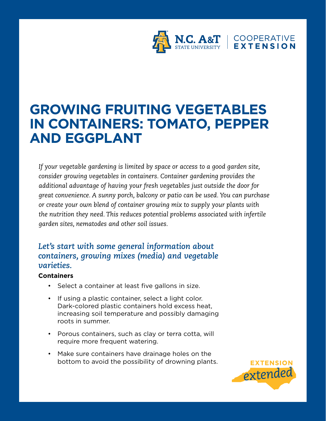

# **GROWING FRUITING VEGETABLES IN CONTAINERS: TOMATO, PEPPER AND EGGPLANT**

*If your vegetable gardening is limited by space or access to a good garden site, consider growing vegetables in containers. Container gardening provides the additional advantage of having your fresh vegetables just outside the door for great convenience. A sunny porch, balcony or patio can be used. You can purchase or create your own blend of container growing mix to supply your plants with the nutrition they need. This reduces potential problems associated with infertile garden sites, nematodes and other soil issues.* 

# *Let's start with some general information about containers, growing mixes (media) and vegetable varieties.*

## **Containers**

- Select a container at least five gallons in size.
- If using a plastic container, select a light color. Dark-colored plastic containers hold excess heat, increasing soil temperature and possibly damaging roots in summer.
- Porous containers, such as clay or terra cotta, will require more frequent watering.
- Make sure containers have drainage holes on the bottom to avoid the possibility of drowning plants.

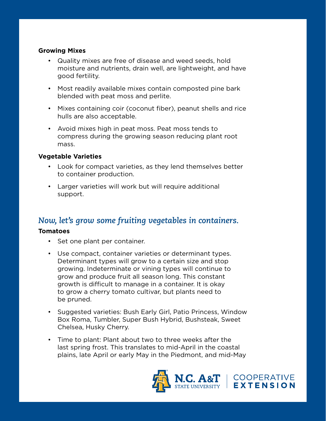#### **Growing Mixes**

- Quality mixes are free of disease and weed seeds, hold moisture and nutrients, drain well, are lightweight, and have good fertility.
- Most readily available mixes contain composted pine bark blended with peat moss and perlite.
- Mixes containing coir (coconut fiber), peanut shells and rice hulls are also acceptable.
- Avoid mixes high in peat moss. Peat moss tends to compress during the growing season reducing plant root mass.

## **Vegetable Varieties**

- Look for compact varieties, as they lend themselves better to container production.
- Larger varieties will work but will require additional support.

# *Now, let's grow some fruiting vegetables in containers.*

## **Tomatoes**

- Set one plant per container.
- Use compact, container varieties or determinant types. Determinant types will grow to a certain size and stop growing. Indeterminate or vining types will continue to grow and produce fruit all season long. This constant growth is difficult to manage in a container. It is okay to grow a cherry tomato cultivar, but plants need to be pruned.
- Suggested varieties: Bush Early Girl, Patio Princess, Window Box Roma, Tumbler, Super Bush Hybrid, Bushsteak, Sweet Chelsea, Husky Cherry.
- Time to plant: Plant about two to three weeks after the last spring frost. This translates to mid-April in the coastal plains, late April or early May in the Piedmont, and mid-May

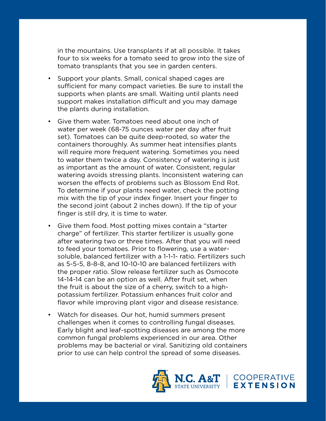in the mountains. Use transplants if at all possible. It takes four to six weeks for a tomato seed to grow into the size of tomato transplants that you see in garden centers.

- Support your plants. Small, conical shaped cages are sufficient for many compact varieties. Be sure to install the supports when plants are small. Waiting until plants need support makes installation difficult and you may damage the plants during installation.
- Give them water. Tomatoes need about one inch of water per week (68-75 ounces water per day after fruit set). Tomatoes can be quite deep-rooted, so water the containers thoroughly. As summer heat intensifies plants will require more frequent watering. Sometimes you need to water them twice a day. Consistency of watering is just as important as the amount of water. Consistent, regular watering avoids stressing plants. Inconsistent watering can worsen the effects of problems such as Blossom End Rot. To determine if your plants need water, check the potting mix with the tip of your index finger. Insert your finger to the second joint (about 2 inches down). If the tip of your finger is still dry, it is time to water.
- Give them food. Most potting mixes contain a "starter charge" of fertilizer. This starter fertilizer is usually gone after watering two or three times. After that you will need to feed your tomatoes. Prior to flowering, use a watersoluble, balanced fertilizer with a 1-1-1- ratio. Fertilizers such as 5-5-5, 8-8-8, and 10-10-10 are balanced fertilizers with the proper ratio. Slow release fertilizer such as Osmocote 14-14-14 can be an option as well. After fruit set, when the fruit is about the size of a cherry, switch to a highpotassium fertilizer. Potassium enhances fruit color and flavor while improving plant vigor and disease resistance.
- Watch for diseases. Our hot, humid summers present challenges when it comes to controlling fungal diseases. Early blight and leaf-spotting diseases are among the more common fungal problems experienced in our area. Other problems may be bacterial or viral. Sanitizing old containers prior to use can help control the spread of some diseases.

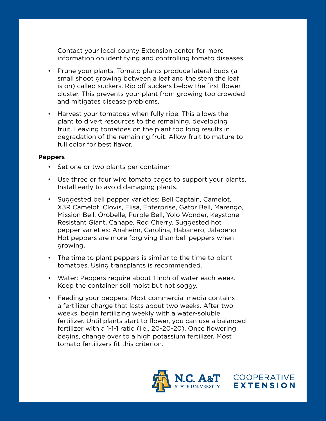Contact your local county Extension center for more information on identifying and controlling tomato diseases.

- Prune your plants. Tomato plants produce lateral buds (a small shoot growing between a leaf and the stem the leaf is on) called suckers. Rip off suckers below the first flower cluster. This prevents your plant from growing too crowded and mitigates disease problems.
- Harvest your tomatoes when fully ripe. This allows the plant to divert resources to the remaining, developing fruit. Leaving tomatoes on the plant too long results in degradation of the remaining fruit. Allow fruit to mature to full color for best flavor.

#### **Peppers**

- Set one or two plants per container.
- Use three or four wire tomato cages to support your plants. Install early to avoid damaging plants.
- Suggested bell pepper varieties: Bell Captain, Camelot, X3R Camelot, Clovis, Elisa, Enterprise, Gator Bell, Marengo, Mission Bell, Orobelle, Purple Bell, Yolo Wonder, Keystone Resistant Giant, Canape, Red Cherry. Suggested hot pepper varieties: Anaheim, Carolina, Habanero, Jalapeno. Hot peppers are more forgiving than bell peppers when growing.
- The time to plant peppers is similar to the time to plant tomatoes. Using transplants is recommended.
- Water: Peppers require about 1 inch of water each week. Keep the container soil moist but not soggy.
- Feeding your peppers: Most commercial media contains a fertilizer charge that lasts about two weeks. After two weeks, begin fertilizing weekly with a water-soluble fertilizer. Until plants start to flower, you can use a balanced fertilizer with a 1-1-1 ratio (i.e., 20-20-20). Once flowering begins, change over to a high potassium fertilizer. Most tomato fertilizers fit this criterion.

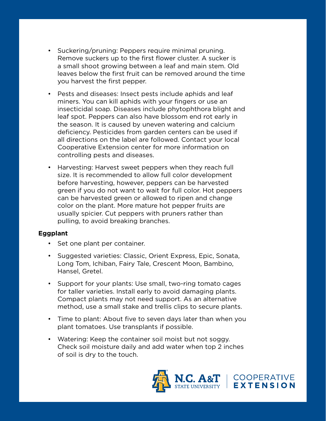- Suckering/pruning: Peppers require minimal pruning. Remove suckers up to the first flower cluster. A sucker is a small shoot growing between a leaf and main stem. Old leaves below the first fruit can be removed around the time you harvest the first pepper.
- Pests and diseases: Insect pests include aphids and leaf miners. You can kill aphids with your fingers or use an insecticidal soap. Diseases include phytophthora blight and leaf spot. Peppers can also have blossom end rot early in the season. It is caused by uneven watering and calcium deficiency. Pesticides from garden centers can be used if all directions on the label are followed. Contact your local Cooperative Extension center for more information on controlling pests and diseases.
- Harvesting: Harvest sweet peppers when they reach full size. It is recommended to allow full color development before harvesting, however, peppers can be harvested green if you do not want to wait for full color. Hot peppers can be harvested green or allowed to ripen and change color on the plant. More mature hot pepper fruits are usually spicier. Cut peppers with pruners rather than pulling, to avoid breaking branches.

#### **Eggplant**

- Set one plant per container.
- Suggested varieties: Classic, Orient Express, Epic, Sonata, Long Tom, Ichiban, Fairy Tale, Crescent Moon, Bambino, Hansel, Gretel.
- Support for your plants: Use small, two-ring tomato cages for taller varieties. Install early to avoid damaging plants. Compact plants may not need support. As an alternative method, use a small stake and trellis clips to secure plants.
- Time to plant: About five to seven days later than when you plant tomatoes. Use transplants if possible.
- Watering: Keep the container soil moist but not soggy. Check soil moisture daily and add water when top 2 inches of soil is dry to the touch.